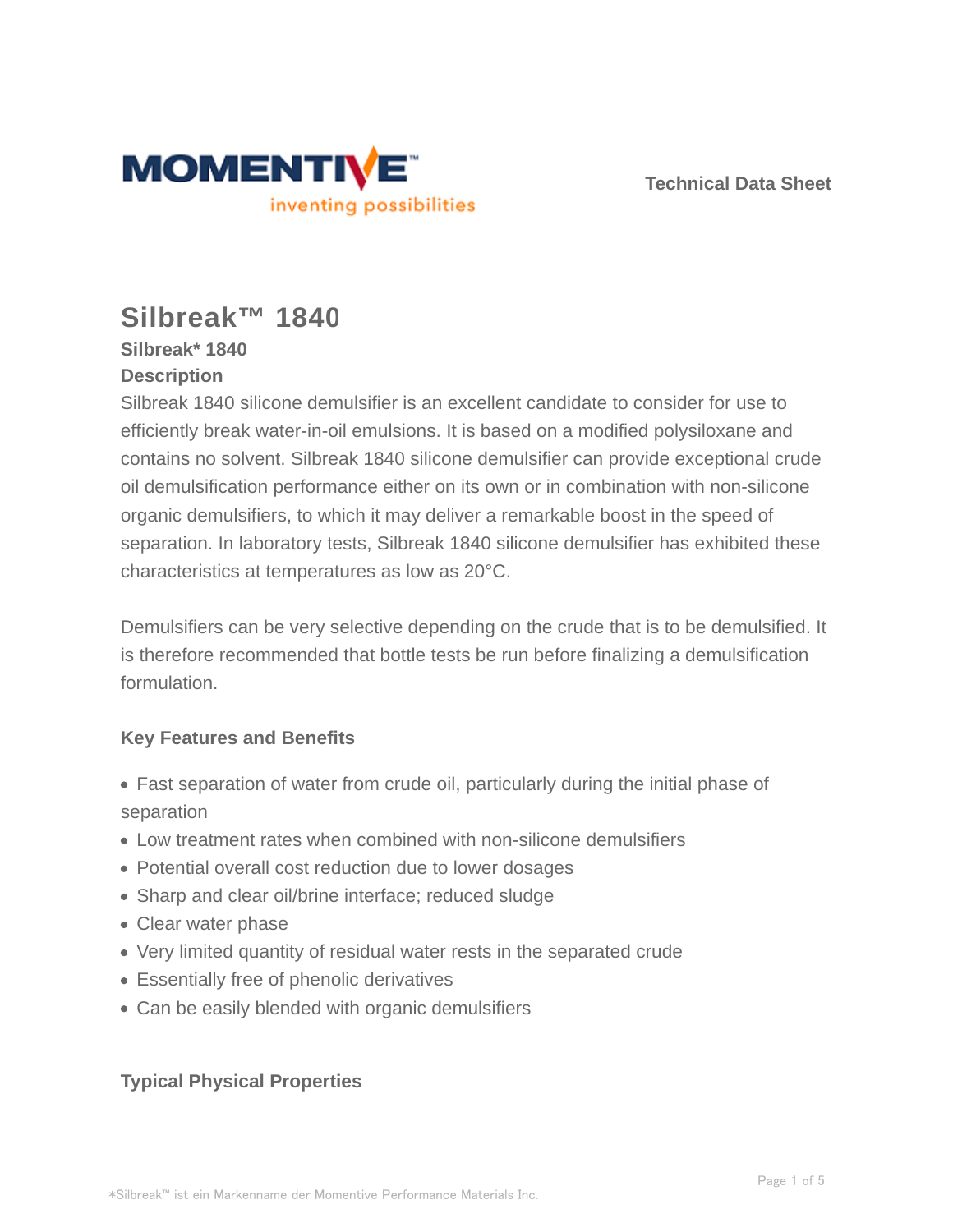

**Technical Data Sheet**

# **Silbreak™ 1840**

### **Silbreak\* 1840 Description**

Silbreak 1840 silicone demulsifier is an excellent candidate to consider for use to efficiently break water-in-oil emulsions. It is based on a modified polysiloxane and contains no solvent. Silbreak 1840 silicone demulsifier can provide exceptional crude oil demulsification performance either on its own or in combination with non-silicone organic demulsifiers, to which it may deliver a remarkable boost in the speed of separation. In laboratory tests, Silbreak 1840 silicone demulsifier has exhibited these characteristics at temperatures as low as 20°C.

Demulsifiers can be very selective depending on the crude that is to be demulsified. It is therefore recommended that bottle tests be run before finalizing a demulsification formulation.

# **Key Features and Benefits**

- Fast separation of water from crude oil, particularly during the initial phase of separation
- Low treatment rates when combined with non-silicone demulsifiers
- Potential overall cost reduction due to lower dosages
- Sharp and clear oil/brine interface; reduced sludge
- Clear water phase
- Very limited quantity of residual water rests in the separated crude
- Essentially free of phenolic derivatives
- Can be easily blended with organic demulsifiers

# **Typical Physical Properties**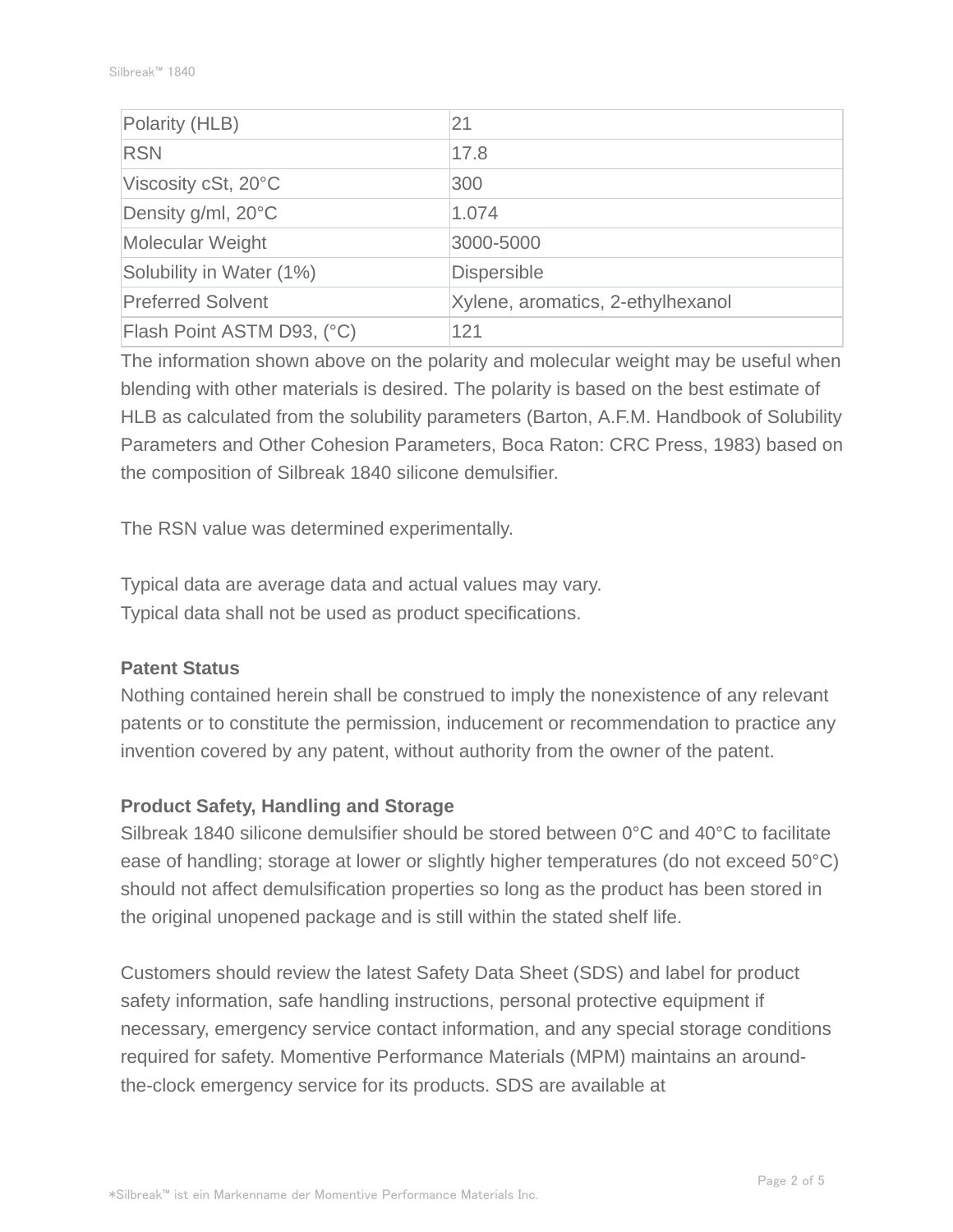| Polarity (HLB)             | 21                                |
|----------------------------|-----------------------------------|
| <b>RSN</b>                 | 17.8                              |
| Viscosity cSt, 20°C        | 300                               |
| Density g/ml, 20°C         | 1.074                             |
| Molecular Weight           | 3000-5000                         |
| Solubility in Water (1%)   | <b>Dispersible</b>                |
| <b>Preferred Solvent</b>   | Xylene, aromatics, 2-ethylhexanol |
| Flash Point ASTM D93, (°C) | 121                               |

The information shown above on the polarity and molecular weight may be useful when blending with other materials is desired. The polarity is based on the best estimate of HLB as calculated from the solubility parameters (Barton, A.F.M. Handbook of Solubility Parameters and Other Cohesion Parameters, Boca Raton: CRC Press, 1983) based on the composition of Silbreak 1840 silicone demulsifier.

The RSN value was determined experimentally.

Typical data are average data and actual values may vary. Typical data shall not be used as product specifications.

#### **Patent Status**

Nothing contained herein shall be construed to imply the nonexistence of any relevant patents or to constitute the permission, inducement or recommendation to practice any invention covered by any patent, without authority from the owner of the patent.

#### **Product Safety, Handling and Storage**

Silbreak 1840 silicone demulsifier should be stored between 0°C and 40°C to facilitate ease of handling; storage at lower or slightly higher temperatures (do not exceed 50°C) should not affect demulsification properties so long as the product has been stored in the original unopened package and is still within the stated shelf life.

Customers should review the latest Safety Data Sheet (SDS) and label for product safety information, safe handling instructions, personal protective equipment if necessary, emergency service contact information, and any special storage conditions required for safety. Momentive Performance Materials (MPM) maintains an aroundthe-clock emergency service for its products. SDS are available at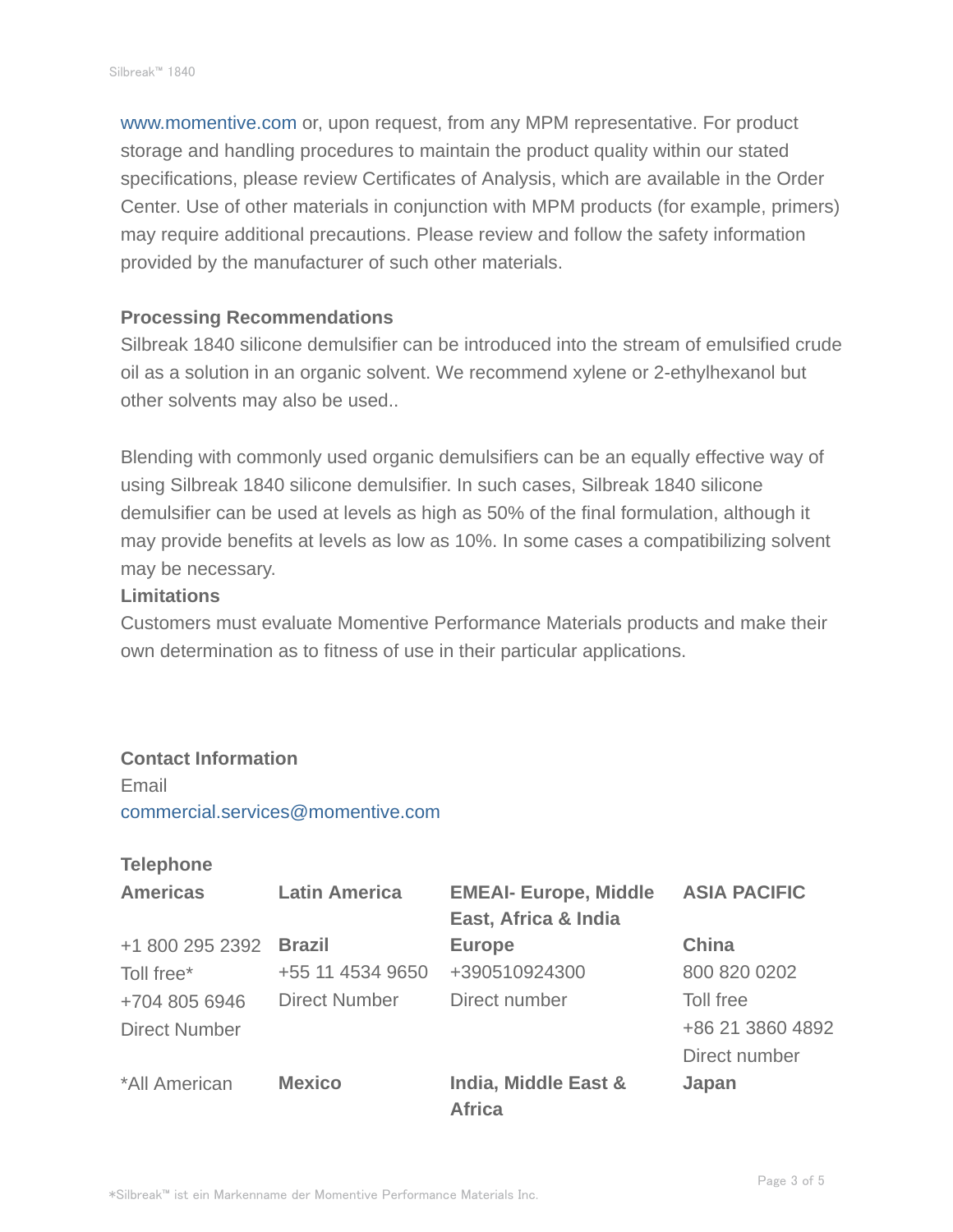www.momentive.com or, upon request, from any MPM representative. For product storage and handling procedures to maintain the product quality within our stated specifications, please review Certificates of Analysis, which are available in the Order Center. Use of other materials in conjunction with MPM products (for example, primers) may require additional precautions. Please review and follow the safety information provided by the manufacturer of such other materials.

#### **Processing Recommendations**

Silbreak 1840 silicone demulsifier can be introduced into the stream of emulsified crude oil as a solution in an organic solvent. We recommend xylene or 2-ethylhexanol but other solvents may also be used..

Blending with commonly used organic demulsifiers can be an equally effective way of using Silbreak 1840 silicone demulsifier. In such cases, Silbreak 1840 silicone demulsifier can be used at levels as high as 50% of the final formulation, although it may provide benefits at levels as low as 10%. In some cases a compatibilizing solvent may be necessary.

#### **Limitations**

Customers must evaluate Momentive Performance Materials products and make their own determination as to fitness of use in their particular applications.

#### **Contact Information**

Email commercial.services@momentive.com

#### **Telephone**

| <b>Americas</b>      | <b>Latin America</b> | <b>EMEAI- Europe, Middle</b>          | <b>ASIA PACIFIC</b> |
|----------------------|----------------------|---------------------------------------|---------------------|
|                      |                      | East, Africa & India                  |                     |
| +1 800 295 2392      | <b>Brazil</b>        | <b>Europe</b>                         | <b>China</b>        |
| Toll free*           | +55 11 4534 9650     | +390510924300                         | 800 820 0202        |
| +704 805 6946        | <b>Direct Number</b> | Direct number                         | Toll free           |
| <b>Direct Number</b> |                      |                                       | +86 21 3860 4892    |
|                      |                      |                                       | Direct number       |
| *All American        | <b>Mexico</b>        | India, Middle East &<br><b>Africa</b> | Japan               |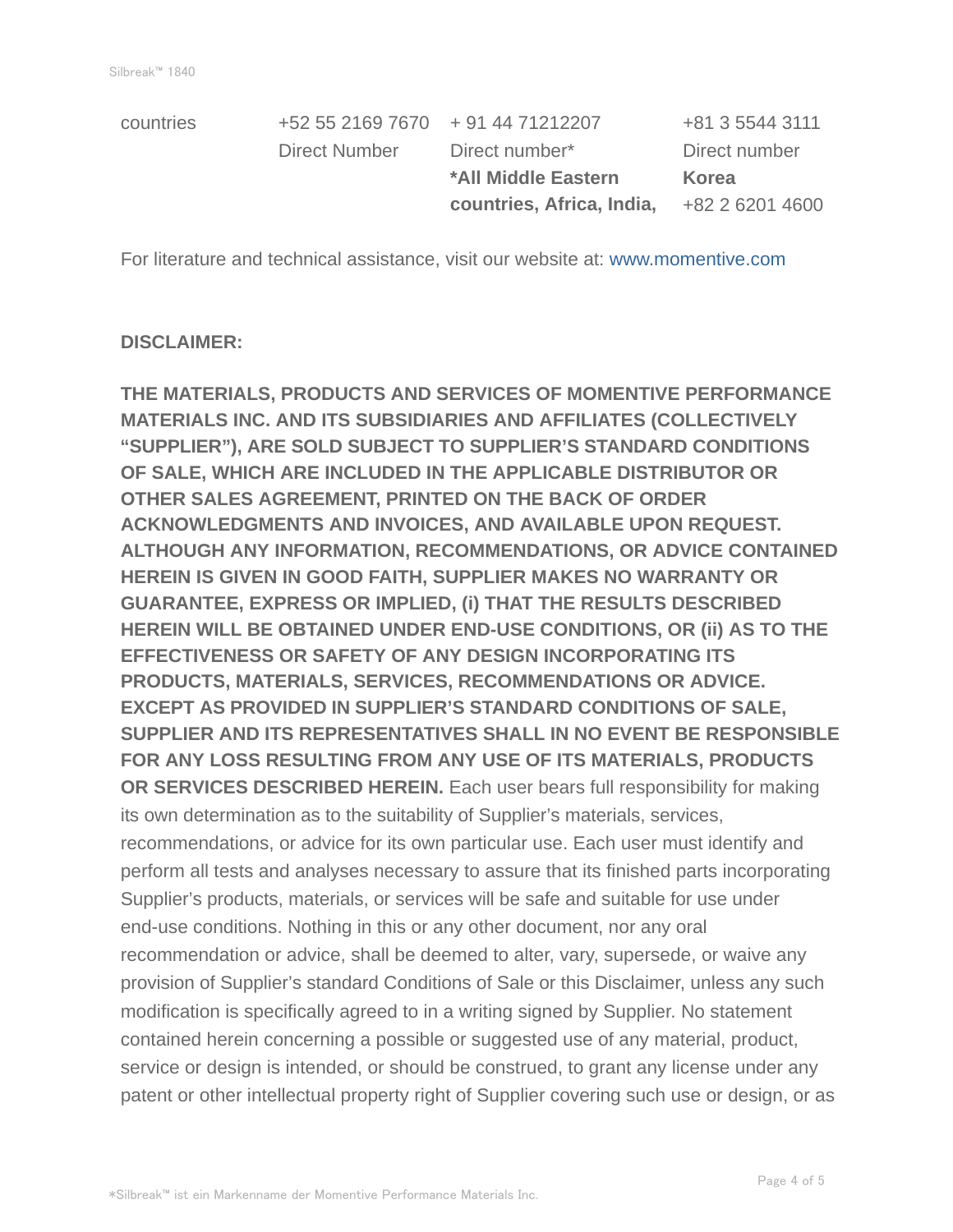|               |                           | +81 3 5544 3111                   |
|---------------|---------------------------|-----------------------------------|
| Direct Number | Direct number*            | Direct number                     |
|               | *All Middle Eastern       | Korea                             |
|               | countries, Africa, India, | +82 2 6201 4600                   |
|               |                           | +52 55 2169 7670 + 91 44 71212207 |

For literature and technical assistance, visit our website at: www.momentive.com

#### **DISCLAIMER:**

**THE MATERIALS, PRODUCTS AND SERVICES OF MOMENTIVE PERFORMANCE MATERIALS INC. AND ITS SUBSIDIARIES AND AFFILIATES (COLLECTIVELY "SUPPLIER"), ARE SOLD SUBJECT TO SUPPLIER'S STANDARD CONDITIONS OF SALE, WHICH ARE INCLUDED IN THE APPLICABLE DISTRIBUTOR OR OTHER SALES AGREEMENT, PRINTED ON THE BACK OF ORDER ACKNOWLEDGMENTS AND INVOICES, AND AVAILABLE UPON REQUEST. ALTHOUGH ANY INFORMATION, RECOMMENDATIONS, OR ADVICE CONTAINED HEREIN IS GIVEN IN GOOD FAITH, SUPPLIER MAKES NO WARRANTY OR GUARANTEE, EXPRESS OR IMPLIED, (i) THAT THE RESULTS DESCRIBED HEREIN WILL BE OBTAINED UNDER END-USE CONDITIONS, OR (ii) AS TO THE EFFECTIVENESS OR SAFETY OF ANY DESIGN INCORPORATING ITS PRODUCTS, MATERIALS, SERVICES, RECOMMENDATIONS OR ADVICE. EXCEPT AS PROVIDED IN SUPPLIER'S STANDARD CONDITIONS OF SALE, SUPPLIER AND ITS REPRESENTATIVES SHALL IN NO EVENT BE RESPONSIBLE FOR ANY LOSS RESULTING FROM ANY USE OF ITS MATERIALS, PRODUCTS OR SERVICES DESCRIBED HEREIN.** Each user bears full responsibility for making its own determination as to the suitability of Supplier's materials, services, recommendations, or advice for its own particular use. Each user must identify and perform all tests and analyses necessary to assure that its finished parts incorporating Supplier's products, materials, or services will be safe and suitable for use under end-use conditions. Nothing in this or any other document, nor any oral recommendation or advice, shall be deemed to alter, vary, supersede, or waive any provision of Supplier's standard Conditions of Sale or this Disclaimer, unless any such modification is specifically agreed to in a writing signed by Supplier. No statement contained herein concerning a possible or suggested use of any material, product, service or design is intended, or should be construed, to grant any license under any patent or other intellectual property right of Supplier covering such use or design, or as